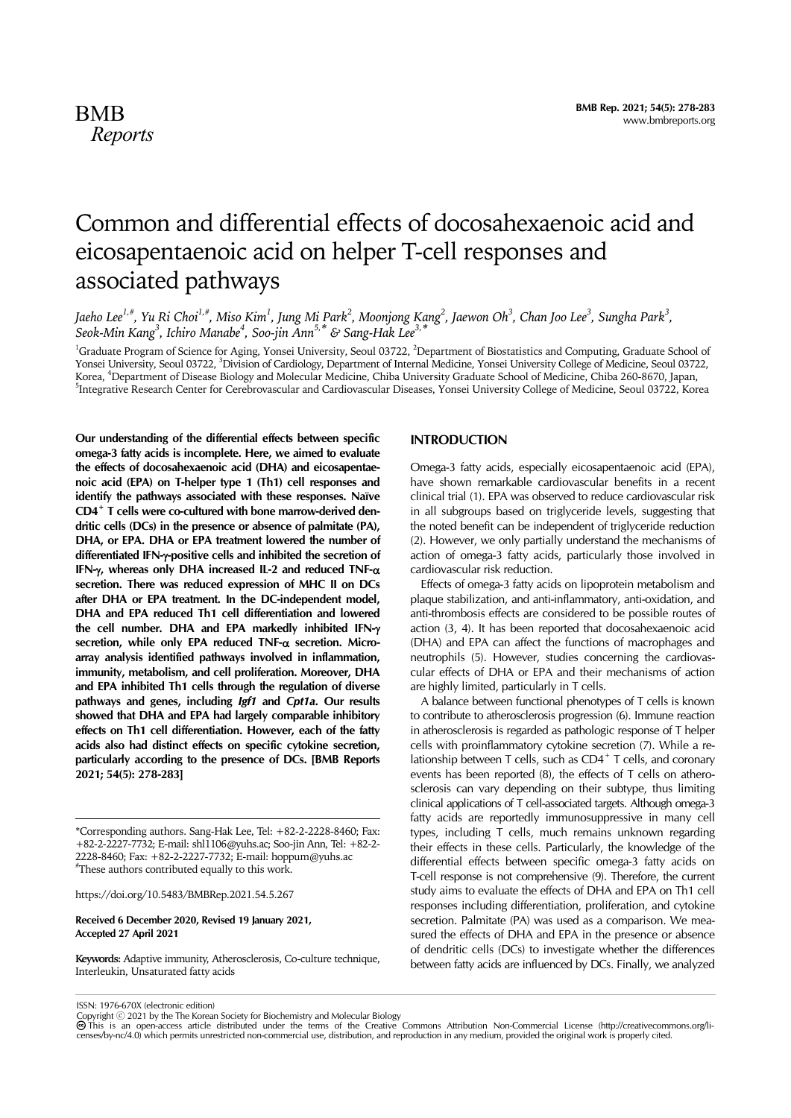# Common and differential effects of docosahexaenoic acid and eicosapentaenoic acid on helper T-cell responses and associated pathways

Jaeho Lee<sup>1,#</sup>, Yu Ri Choi<sup>1,#</sup>, Miso Kim<sup>1</sup>, Jung Mi Park<sup>2</sup>, Moonjong Kang<sup>2</sup>, Jaewon Oh<sup>3</sup>, Chan Joo Lee<sup>3</sup>, Sungha Park<sup>3</sup>, *Seok-Min Kang3 , Ichiro Manabe4 , Soo-jin Ann5,\* & Sang-Hak Lee3,\**

<sup>1</sup>Graduate Program of Science for Aging, Yonsei University, Seoul 03722, <sup>2</sup>Department of Biostatistics and Computing, Graduate School of Yonsei University, Seoul 03722, <sup>3</sup>Division of Cardiology, Department of Internal Medicine, Yonsei University College of Medicine, Seoul 03722, Korea, <sup>4</sup>Department of Disease Biology and Molecular Medicine, Chiba University Graduate School of Medicine, Chiba 260-8670, Japan,<br><sup>5</sup>Integrative Bessereb Contes for Cerchrovecular and Certioxecular Diseases, Vancei Univ <sup>5</sup>Integrative Research Center for Cerebrovascular and Cardiovascular Diseases, Yonsei University College of Medicine, Seoul 03722, Korea

**Our understanding of the differential effects between specific omega-3 fatty acids is incomplete. Here, we aimed to evaluate the effects of docosahexaenoic acid (DHA) and eicosapentaenoic acid (EPA) on T-helper type 1 (Th1) cell responses and identify the pathways associated with these responses. Naïve CD4+ T cells were co-cultured with bone marrow-derived dendritic cells (DCs) in the presence or absence of palmitate (PA), DHA, or EPA. DHA or EPA treatment lowered the number of differentiated IFN--positive cells and inhibited the secretion of IFN-, whereas only DHA increased IL-2 and reduced TNF secretion. There was reduced expression of MHC II on DCs after DHA or EPA treatment. In the DC-independent model, DHA and EPA reduced Th1 cell differentiation and lowered the cell number. DHA and EPA markedly inhibited IFN** secretion, while only ΕΡΑ reduced TNF-α secretion. Micro**array analysis identified pathways involved in inflammation, immunity, metabolism, and cell proliferation. Moreover, DHA and EPA inhibited Th1 cells through the regulation of diverse pathways and genes, including** *Igf1* **and** *Cpt1a***. Our results showed that DHA and EPA had largely comparable inhibitory effects on Th1 cell differentiation. However, each of the fatty acids also had distinct effects on specific cytokine secretion, particularly according to the presence of DCs. [BMB Reports 2021; 54(5): 278-283]**

https://doi.org/10.5483/BMBRep.2021.54.5.267

#### **Received 6 December 2020, Revised 19 January 2021, Accepted 27 April 2021**

**Keywords:** Adaptive immunity, Atherosclerosis, Co-culture technique, Interleukin, Unsaturated fatty acids

## **INTRODUCTION**

Omega-3 fatty acids, especially eicosapentaenoic acid (EPA), have shown remarkable cardiovascular benefits in a recent clinical trial (1). EPA was observed to reduce cardiovascular risk in all subgroups based on triglyceride levels, suggesting that the noted benefit can be independent of triglyceride reduction (2). However, we only partially understand the mechanisms of action of omega-3 fatty acids, particularly those involved in cardiovascular risk reduction.

Effects of omega-3 fatty acids on lipoprotein metabolism and plaque stabilization, and anti-inflammatory, anti-oxidation, and anti-thrombosis effects are considered to be possible routes of action (3, 4). It has been reported that docosahexaenoic acid (DHA) and EPA can affect the functions of macrophages and neutrophils (5). However, studies concerning the cardiovascular effects of DHA or EPA and their mechanisms of action are highly limited, particularly in T cells.

A balance between functional phenotypes of T cells is known to contribute to atherosclerosis progression (6). Immune reaction in atherosclerosis is regarded as pathologic response of T helper cells with proinflammatory cytokine secretion (7). While a relationship between T cells, such as  $CD4^+$  T cells, and coronary events has been reported (8), the effects of T cells on atherosclerosis can vary depending on their subtype, thus limiting clinical applications of T cell-associated targets. Although omega-3 fatty acids are reportedly immunosuppressive in many cell types, including T cells, much remains unknown regarding their effects in these cells. Particularly, the knowledge of the differential effects between specific omega-3 fatty acids on T-cell response is not comprehensive (9). Therefore, the current study aims to evaluate the effects of DHA and EPA on Th1 cell responses including differentiation, proliferation, and cytokine secretion. Palmitate (PA) was used as a comparison. We measured the effects of DHA and EPA in the presence or absence of dendritic cells (DCs) to investigate whether the differences between fatty acids are influenced by DCs. Finally, we analyzed

ISSN: 1976-670X (electronic edition)

<sup>\*</sup>Corresponding authors. Sang-Hak Lee, Tel: +82-2-2228-8460; Fax: +82-2-2227-7732; E-mail: shl1106@yuhs.ac; Soo-jin Ann, Tel: +82-2- 2228-8460; Fax: +82-2-2227-7732; E-mail: hoppum@yuhs.ac # These authors contributed equally to this work.

Copyright © 2021 by the The Korean Society for Biochemistry and Molecular Biology<br>@ This is an open-access article distributed under the terms of the Creative Commons Attribution Non-Commercial License (http://creativecomm censes/by-nc/4.0) which permits unrestricted non-commercial use, distribution, and reproduction in any medium, provided the original work is properly cited.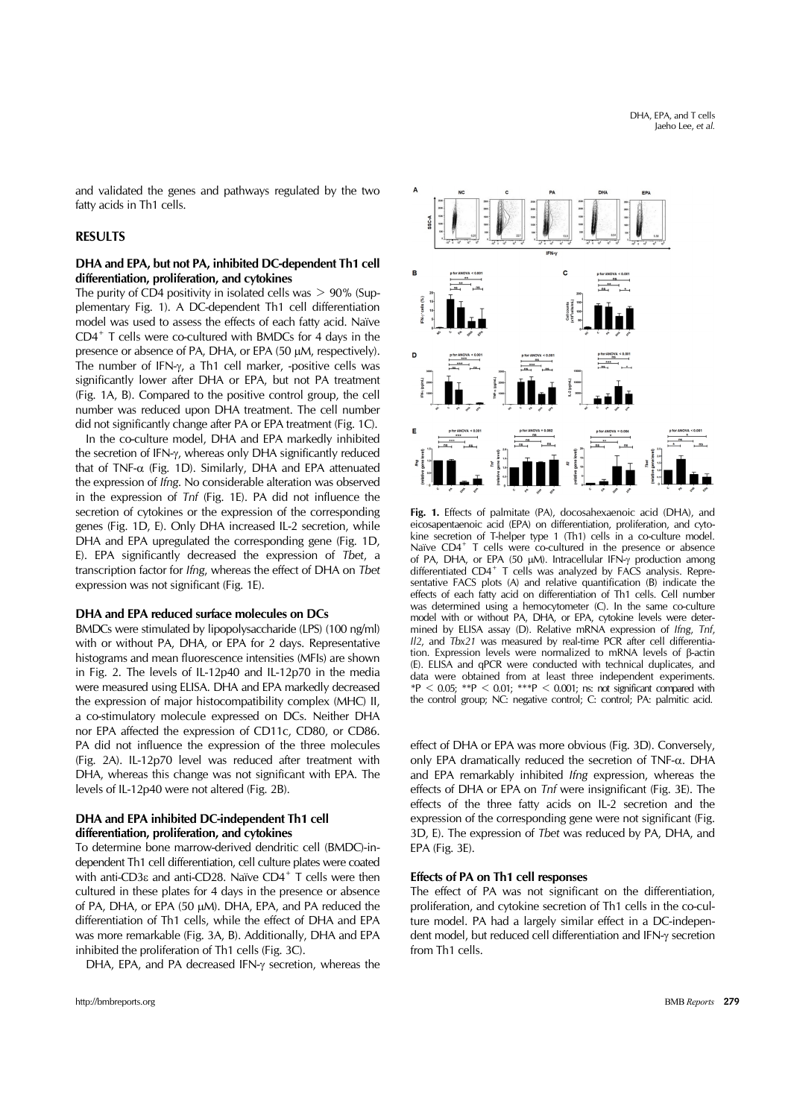and validated the genes and pathways regulated by the two fatty acids in Th1 cells.

## **RESULTS**

## **DHA and EPA, but not PA, inhibited DC-dependent Th1 cell differentiation, proliferation, and cytokines**

The purity of CD4 positivity in isolated cells was  $> 90\%$  (Supplementary Fig. 1). A DC-dependent Th1 cell differentiation model was used to assess the effects of each fatty acid. Naïve CD4+ T cells were co-cultured with BMDCs for 4 days in the presence or absence of PA, DHA, or EPA (50 µM, respectively). The number of IFN- $\gamma$ , a Th1 cell marker, -positive cells was significantly lower after DHA or EPA, but not PA treatment (Fig. 1A, B). Compared to the positive control group, the cell number was reduced upon DHA treatment. The cell number did not significantly change after PA or EPA treatment (Fig. 1C).

In the co-culture model, DHA and EPA markedly inhibited the secretion of IFN- $\gamma$ , whereas only DHA significantly reduced that of TNF- $\alpha$  (Fig. 1D). Similarly, DHA and EPA attenuated the expression of *Ifng*. No considerable alteration was observed in the expression of *Tnf* (Fig. 1E). PA did not influence the secretion of cytokines or the expression of the corresponding genes (Fig. 1D, E). Only DHA increased IL-2 secretion, while DHA and EPA upregulated the corresponding gene (Fig. 1D, E). EPA significantly decreased the expression of *Tbet*, a transcription factor for *Ifng*, whereas the effect of DHA on *Tbet* expression was not significant (Fig. 1E).

#### **DHA and EPA reduced surface molecules on DCs**

BMDCs were stimulated by lipopolysaccharide (LPS) (100 ng/ml) with or without PA, DHA, or EPA for 2 days. Representative histograms and mean fluorescence intensities (MFIs) are shown in Fig. 2. The levels of IL-12p40 and IL-12p70 in the media were measured using ELISA. DHA and EPA markedly decreased the expression of major histocompatibility complex (MHC) II, a co-stimulatory molecule expressed on DCs. Neither DHA nor EPA affected the expression of CD11c, CD80, or CD86. PA did not influence the expression of the three molecules (Fig. 2A). IL-12p70 level was reduced after treatment with DHA, whereas this change was not significant with EPA. The levels of IL-12p40 were not altered (Fig. 2B).

### **DHA and EPA inhibited DC-independent Th1 cell differentiation, proliferation, and cytokines**

To determine bone marrow-derived dendritic cell (BMDC)-independent Th1 cell differentiation, cell culture plates were coated with anti-CD3 $\varepsilon$  and anti-CD28. Naïve CD4<sup>+</sup> T cells were then cultured in these plates for 4 days in the presence or absence of PA, DHA, or EPA (50 µM). DHA, EPA, and PA reduced the differentiation of Th1 cells, while the effect of DHA and EPA was more remarkable (Fig. 3A, B). Additionally, DHA and EPA inhibited the proliferation of Th1 cells (Fig. 3C).

DHA, EPA, and PA decreased IFN-y secretion, whereas the



**Fig. 1.** Effects of palmitate (PA), docosahexaenoic acid (DHA), and eicosapentaenoic acid (EPA) on differentiation, proliferation, and cytokine secretion of T-helper type 1 (Th1) cells in a co-culture model. Naïve CD4<sup>+</sup> T cells were co-cultured in the presence or absence of PA, DHA, or EPA (50  $\mu$ M). Intracellular IFN- $\gamma$  production among differentiated CD4<sup>+</sup> T cells was analyzed by FACS analysis. Representative FACS plots (A) and relative quantification (B) indicate the effects of each fatty acid on differentiation of Th1 cells. Cell number was determined using a hemocytometer (C). In the same co-culture model with or without PA, DHA, or EPA, cytokine levels were determined by ELISA assay (D). Relative mRNA expression of *Ifng*, *Tnf*, *Il2*, and *Tbx21* was measured by real-time PCR after cell differentiation. Expression levels were normalized to mRNA levels of  $\beta$ -actin (E). ELISA and qPCR were conducted with technical duplicates, and data were obtained from at least three independent experiments.  $*P < 0.05$ ;  $*P < 0.01$ ;  $**P < 0.001$ ; ns: not significant compared with the control group; NC: negative control; C: control; PA: palmitic acid.

effect of DHA or EPA was more obvious (Fig. 3D). Conversely, only EPA dramatically reduced the secretion of  $TNF-\alpha$ . DHA and EPA remarkably inhibited *Ifng* expression, whereas the effects of DHA or EPA on *Tnf* were insignificant (Fig. 3E). The effects of the three fatty acids on IL-2 secretion and the expression of the corresponding gene were not significant (Fig. 3D, E). The expression of *Tbet* was reduced by PA, DHA, and EPA (Fig. 3E).

#### **Effects of PA on Th1 cell responses**

The effect of PA was not significant on the differentiation, proliferation, and cytokine secretion of Th1 cells in the co-culture model. PA had a largely similar effect in a DC-independent model, but reduced cell differentiation and IFN-y secretion from Th1 cells.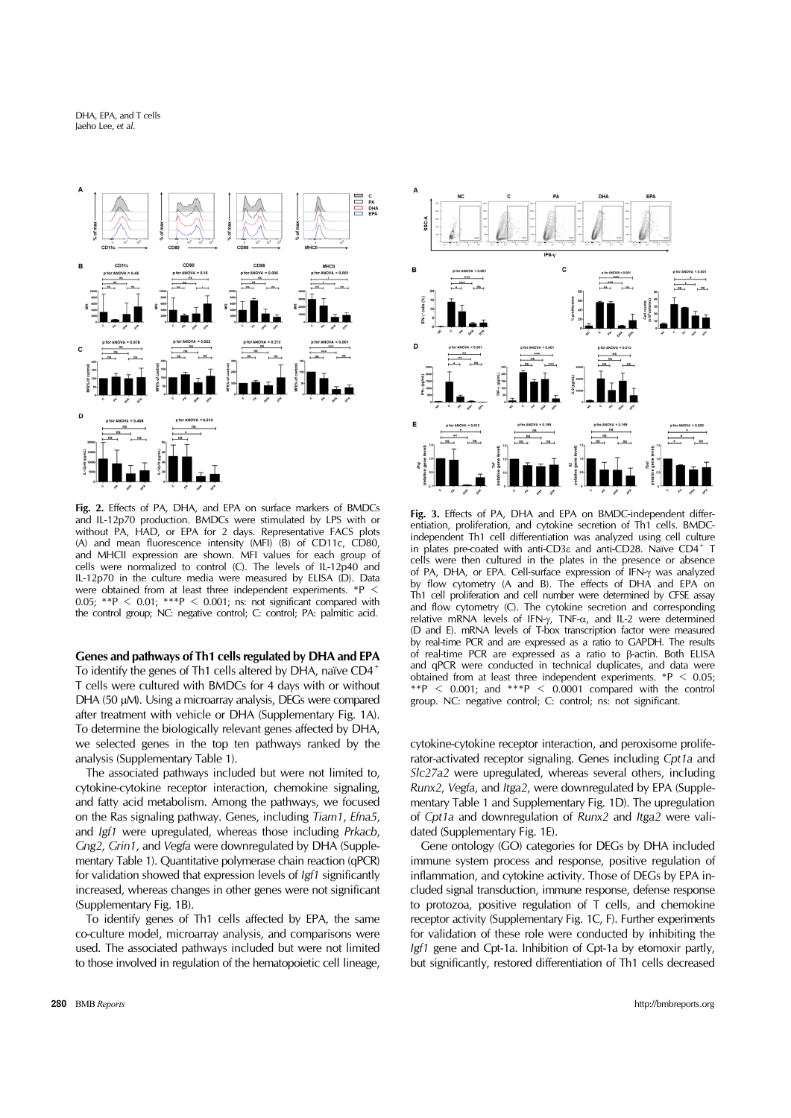

**Fig. 2.** Effects of PA, DHA, and EPA on surface markers of BMDCs and IL-12p70 production. BMDCs were stimulated by LPS with or without PA, HAD, or EPA for 2 days. Representative FACS plots (A) and mean fluorescence intensity (MFI) (B) of CD11c, CD80, and MHCII expression are shown. MFI values for each group of cells were normalized to control (C). The levels of IL-12p40 and IL-12p70 in the culture media were measured by ELISA (D). Data were obtained from at least three independent experiments. 0.05:  $*^{p}$  < 0.01;  $*^{p}$  < 0.001; ns: not significant compared with the control group; NC: negative control; C: control; PA: palmitic acid.

**Genes and pathways of Th1 cells regulated by DHA and EPA**

To identify the genes of Th1 cells altered by DHA, naïve CD4<sup>+</sup> T cells were cultured with BMDCs for 4 days with or without DHA (50 µM). Using a microarray analysis, DEGs were compared after treatment with vehicle or DHA (Supplementary Fig. 1A). To determine the biologically relevant genes affected by DHA, we selected genes in the top ten pathways ranked by the analysis (Supplementary Table 1).

The associated pathways included but were not limited to, cytokine-cytokine receptor interaction, chemokine signaling, and fatty acid metabolism. Among the pathways, we focused on the Ras signaling pathway. Genes, including *Tiam1*, *Efna5*, and *Igf1* were upregulated, whereas those including *Prkacb*, *Gng2*, *Grin1*, and *Vegfa* were downregulated by DHA (Supplementary Table 1). Quantitative polymerase chain reaction (qPCR) for validation showed that expression levels of *Igf1* significantly increased, whereas changes in other genes were not significant (Supplementary Fig. 1B).

To identify genes of Th1 cells affected by EPA, the same co-culture model, microarray analysis, and comparisons were used. The associated pathways included but were not limited to those involved in regulation of the hematopoietic cell lineage,



**Fig. 3.** Effects of PA, DHA and EPA on BMDC-independent differentiation, proliferation, and cytokine secretion of Th1 cells. BMDCindependent Th1 cell differentiation was analyzed using cell culture in plates pre-coated with anti-CD3 $\varepsilon$  and anti-CD28. Naïve CD4<sup>+</sup> T cells were then cultured in the plates in the presence or absence of PA, DHA, or EPA. Cell-surface expression of IFN- $\gamma$  was analyzed by flow cytometry (A and B). The effects of DHA and EPA on Th1 cell proliferation and cell number were determined by CFSE assay and flow cytometry (C). The cytokine secretion and corresponding relative mRNA levels of IFN- $\gamma$ , TNF- $\alpha$ , and IL-2 were determined (D and E). mRNA levels of T-box transcription factor were measured by real-time PCR and are expressed as a ratio to GAPDH. The results of real-time PCR are expressed as a ratio to  $\beta$ -actin. Both ELISA and qPCR were conducted in technical duplicates, and data were obtained from at least three independent experiments.  $*P < 0.05$ ; \*\*P < 0.001; and \*\*\*P < 0.0001 compared with the control group. NC: negative control; C: control; ns: not significant.

cytokine-cytokine receptor interaction, and peroxisome proliferator-activated receptor signaling. Genes including *Cpt1a* and *Slc27a2* were upregulated, whereas several others, including *Runx2*, *Vegfa*, and *Itga2*, were downregulated by EPA (Supplementary Table 1 and Supplementary Fig. 1D). The upregulation of *Cpt1a* and downregulation of *Runx2* and *Itga2* were validated (Supplementary Fig. 1E).

Gene ontology (GO) categories for DEGs by DHA included immune system process and response, positive regulation of inflammation, and cytokine activity. Those of DEGs by EPA included signal transduction, immune response, defense response to protozoa, positive regulation of T cells, and chemokine receptor activity (Supplementary Fig. 1C, F). Further experiments for validation of these role were conducted by inhibiting the *Igf1* gene and Cpt-1a. Inhibition of Cpt-1a by etomoxir partly, but significantly, restored differentiation of Th1 cells decreased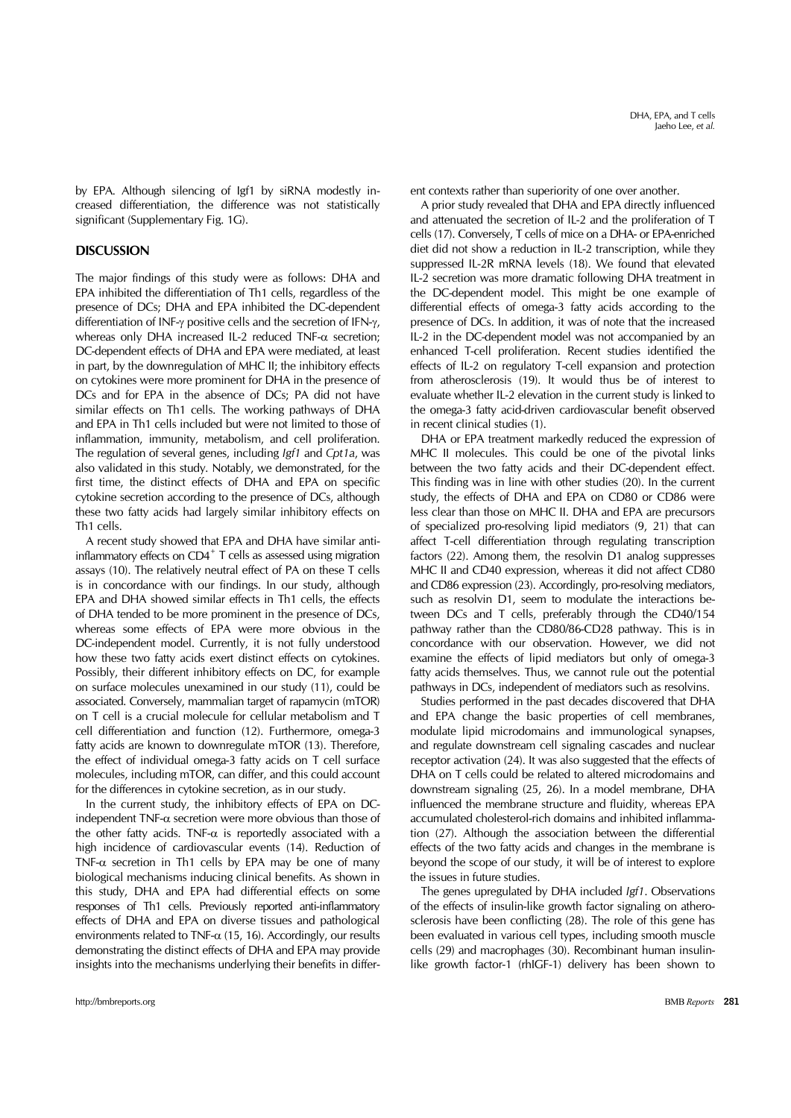DHA, EPA, and T cells Jaeho Lee, *et al.*

by EPA. Although silencing of Igf1 by siRNA modestly increased differentiation, the difference was not statistically significant (Supplementary Fig. 1G).

## **DISCUSSION**

The major findings of this study were as follows: DHA and EPA inhibited the differentiation of Th1 cells, regardless of the presence of DCs; DHA and EPA inhibited the DC-dependent differentiation of INF- $\gamma$  positive cells and the secretion of IFN- $\gamma$ , whereas only DHA increased IL-2 reduced  $TNF-\alpha$  secretion; DC-dependent effects of DHA and EPA were mediated, at least in part, by the downregulation of MHC II; the inhibitory effects on cytokines were more prominent for DHA in the presence of DCs and for EPA in the absence of DCs; PA did not have similar effects on Th1 cells. The working pathways of DHA and EPA in Th1 cells included but were not limited to those of inflammation, immunity, metabolism, and cell proliferation. The regulation of several genes, including *Igf1* and *Cpt1a*, was also validated in this study. Notably, we demonstrated, for the first time, the distinct effects of DHA and EPA on specific cytokine secretion according to the presence of DCs, although these two fatty acids had largely similar inhibitory effects on Th1 cells.

A recent study showed that EPA and DHA have similar antiinflammatory effects on  $CD4^+$  T cells as assessed using migration assays (10). The relatively neutral effect of PA on these T cells is in concordance with our findings. In our study, although EPA and DHA showed similar effects in Th1 cells, the effects of DHA tended to be more prominent in the presence of DCs, whereas some effects of EPA were more obvious in the DC-independent model. Currently, it is not fully understood how these two fatty acids exert distinct effects on cytokines. Possibly, their different inhibitory effects on DC, for example on surface molecules unexamined in our study (11), could be associated. Conversely, mammalian target of rapamycin (mTOR) on T cell is a crucial molecule for cellular metabolism and T cell differentiation and function (12). Furthermore, omega-3 fatty acids are known to downregulate mTOR (13). Therefore, the effect of individual omega-3 fatty acids on T cell surface molecules, including mTOR, can differ, and this could account for the differences in cytokine secretion, as in our study.

In the current study, the inhibitory effects of EPA on DCindependent TNF- $\alpha$  secretion were more obvious than those of the other fatty acids. TNF- $\alpha$  is reportedly associated with a high incidence of cardiovascular events (14). Reduction of TNF- $\alpha$  secretion in Th1 cells by EPA may be one of many biological mechanisms inducing clinical benefits. As shown in this study, DHA and EPA had differential effects on some responses of Th1 cells. Previously reported anti-inflammatory effects of DHA and EPA on diverse tissues and pathological environments related to TNF- $\alpha$  (15, 16). Accordingly, our results demonstrating the distinct effects of DHA and EPA may provide insights into the mechanisms underlying their benefits in different contexts rather than superiority of one over another.

A prior study revealed that DHA and EPA directly influenced and attenuated the secretion of IL-2 and the proliferation of T cells (17). Conversely, T cells of mice on a DHA- or EPA-enriched diet did not show a reduction in IL-2 transcription, while they suppressed IL-2R mRNA levels (18). We found that elevated IL-2 secretion was more dramatic following DHA treatment in the DC-dependent model. This might be one example of differential effects of omega-3 fatty acids according to the presence of DCs. In addition, it was of note that the increased IL-2 in the DC-dependent model was not accompanied by an enhanced T-cell proliferation. Recent studies identified the effects of IL-2 on regulatory T-cell expansion and protection from atherosclerosis (19). It would thus be of interest to evaluate whether IL-2 elevation in the current study is linked to the omega-3 fatty acid-driven cardiovascular benefit observed in recent clinical studies (1).

DHA or EPA treatment markedly reduced the expression of MHC II molecules. This could be one of the pivotal links between the two fatty acids and their DC-dependent effect. This finding was in line with other studies (20). In the current study, the effects of DHA and EPA on CD80 or CD86 were less clear than those on MHC II. DHA and EPA are precursors of specialized pro-resolving lipid mediators (9, 21) that can affect T-cell differentiation through regulating transcription factors (22). Among them, the resolvin D1 analog suppresses MHC II and CD40 expression, whereas it did not affect CD80 and CD86 expression (23). Accordingly, pro-resolving mediators, such as resolvin D1, seem to modulate the interactions between DCs and T cells, preferably through the CD40/154 pathway rather than the CD80/86-CD28 pathway. This is in concordance with our observation. However, we did not examine the effects of lipid mediators but only of omega-3 fatty acids themselves. Thus, we cannot rule out the potential pathways in DCs, independent of mediators such as resolvins.

Studies performed in the past decades discovered that DHA and EPA change the basic properties of cell membranes, modulate lipid microdomains and immunological synapses, and regulate downstream cell signaling cascades and nuclear receptor activation (24). It was also suggested that the effects of DHA on T cells could be related to altered microdomains and downstream signaling (25, 26). In a model membrane, DHA influenced the membrane structure and fluidity, whereas EPA accumulated cholesterol-rich domains and inhibited inflammation (27). Although the association between the differential effects of the two fatty acids and changes in the membrane is beyond the scope of our study, it will be of interest to explore the issues in future studies.

The genes upregulated by DHA included *Igf1*. Observations of the effects of insulin-like growth factor signaling on atherosclerosis have been conflicting (28). The role of this gene has been evaluated in various cell types, including smooth muscle cells (29) and macrophages (30). Recombinant human insulinlike growth factor-1 (rhIGF-1) delivery has been shown to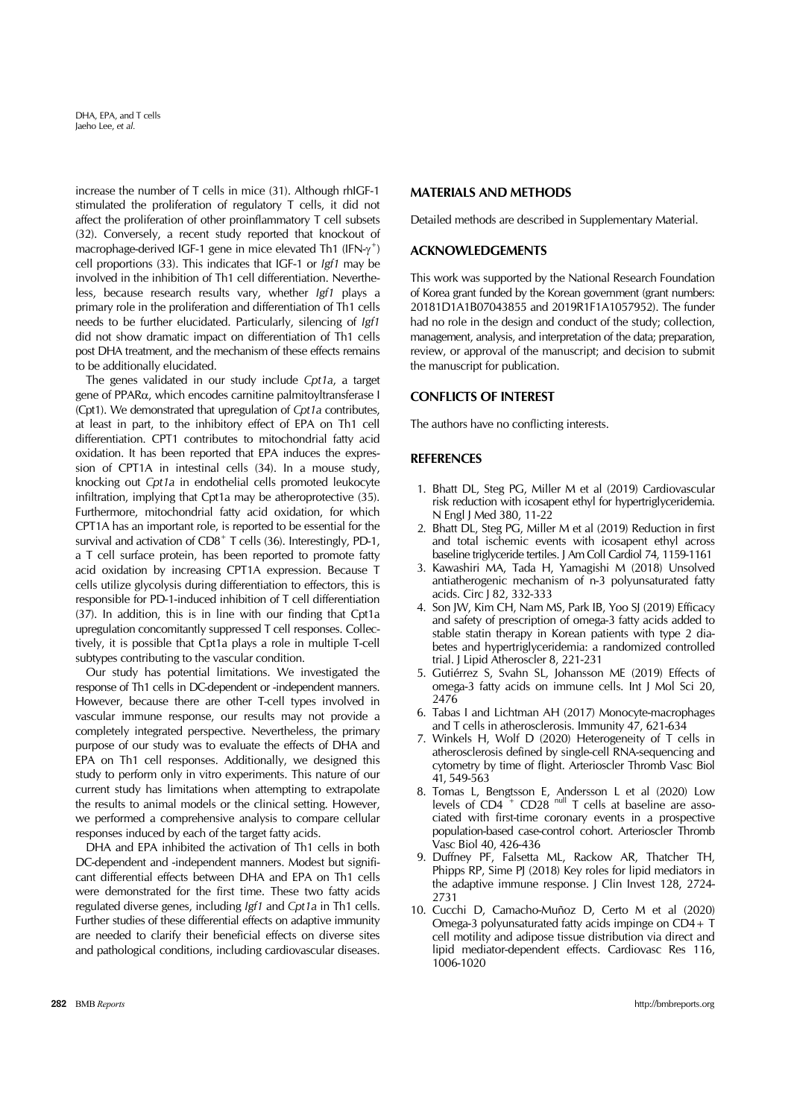DHA, EPA, and T cells Jaeho Lee, *et al.*

increase the number of T cells in mice (31). Although rhIGF-1 stimulated the proliferation of regulatory T cells, it did not affect the proliferation of other proinflammatory T cell subsets (32). Conversely, a recent study reported that knockout of macrophage-derived IGF-1 gene in mice elevated Th1 (IFN- $\gamma^+$ ) cell proportions (33). This indicates that IGF-1 or *Igf1* may be involved in the inhibition of Th1 cell differentiation. Nevertheless, because research results vary, whether *Igf1* plays a primary role in the proliferation and differentiation of Th1 cells needs to be further elucidated. Particularly, silencing of *Igf1* did not show dramatic impact on differentiation of Th1 cells post DHA treatment, and the mechanism of these effects remains to be additionally elucidated.

The genes validated in our study include *Cpt1a*, a target gene of  $PPAR\alpha$ , which encodes carnitine palmitoyltransferase I (Cpt1). We demonstrated that upregulation of *Cpt1a* contributes, at least in part, to the inhibitory effect of EPA on Th1 cell differentiation. CPT1 contributes to mitochondrial fatty acid oxidation. It has been reported that EPA induces the expression of CPT1A in intestinal cells (34). In a mouse study, knocking out *Cpt1a* in endothelial cells promoted leukocyte infiltration, implying that Cpt1a may be atheroprotective (35). Furthermore, mitochondrial fatty acid oxidation, for which CPT1A has an important role, is reported to be essential for the survival and activation of  $CD8<sup>+</sup>$  T cells (36). Interestingly, PD-1, a T cell surface protein, has been reported to promote fatty acid oxidation by increasing CPT1A expression. Because T cells utilize glycolysis during differentiation to effectors, this is responsible for PD-1-induced inhibition of T cell differentiation (37). In addition, this is in line with our finding that Cpt1a upregulation concomitantly suppressed T cell responses. Collectively, it is possible that Cpt1a plays a role in multiple T-cell subtypes contributing to the vascular condition.

Our study has potential limitations. We investigated the response of Th1 cells in DC-dependent or -independent manners. However, because there are other T-cell types involved in vascular immune response, our results may not provide a completely integrated perspective. Nevertheless, the primary purpose of our study was to evaluate the effects of DHA and EPA on Th1 cell responses. Additionally, we designed this study to perform only in vitro experiments. This nature of our current study has limitations when attempting to extrapolate the results to animal models or the clinical setting. However, we performed a comprehensive analysis to compare cellular responses induced by each of the target fatty acids.

DHA and EPA inhibited the activation of Th1 cells in both DC-dependent and -independent manners. Modest but significant differential effects between DHA and EPA on Th1 cells were demonstrated for the first time. These two fatty acids regulated diverse genes, including *Igf1* and *Cpt1a* in Th1 cells. Further studies of these differential effects on adaptive immunity are needed to clarify their beneficial effects on diverse sites and pathological conditions, including cardiovascular diseases.

## **MATERIALS AND METHODS**

Detailed methods are described in Supplementary Material.

## **ACKNOWLEDGEMENTS**

This work was supported by the National Research Foundation of Korea grant funded by the Korean government (grant numbers: 20181D1A1B07043855 and 2019R1F1A1057952). The funder had no role in the design and conduct of the study; collection, management, analysis, and interpretation of the data; preparation, review, or approval of the manuscript; and decision to submit the manuscript for publication.

### **CONFLICTS OF INTEREST**

The authors have no conflicting interests.

## **REFERENCES**

- 1. Bhatt DL, Steg PG, Miller M et al (2019) Cardiovascular risk reduction with icosapent ethyl for hypertriglyceridemia. N Engl J Med 380, 11-22
- 2. Bhatt DL, Steg PG, Miller M et al (2019) Reduction in first and total ischemic events with icosapent ethyl across baseline triglyceride tertiles. J Am Coll Cardiol 74, 1159-1161
- 3. Kawashiri MA, Tada H, Yamagishi M (2018) Unsolved antiatherogenic mechanism of n-3 polyunsaturated fatty acids. Circ J 82, 332-333
- 4. Son JW, Kim CH, Nam MS, Park IB, Yoo SJ (2019) Efficacy and safety of prescription of omega-3 fatty acids added to stable statin therapy in Korean patients with type 2 diabetes and hypertriglyceridemia: a randomized controlled trial. J Lipid Atheroscler 8, 221-231
- 5. Gutiérrez S, Svahn SL, Johansson ME (2019) Effects of omega-3 fatty acids on immune cells. Int J Mol Sci 20, 2476
- 6. Tabas I and Lichtman AH (2017) Monocyte-macrophages and T cells in atherosclerosis. Immunity 47, 621-634
- 7. Winkels H, Wolf D (2020) Heterogeneity of T cells in atherosclerosis defined by single-cell RNA-sequencing and cytometry by time of flight. Arterioscler Thromb Vasc Biol 41, 549-563
- 8. Tomas L, Bengtsson E, Andersson L et al (2020) Low levels of CD4<sup>+</sup> CD28<sup>null</sup> T cells at baseline are associated with first-time coronary events in a prospective population-based case-control cohort. Arterioscler Thromb Vasc Biol 40, 426-436
- 9. Duffney PF, Falsetta ML, Rackow AR, Thatcher TH, Phipps RP, Sime PJ (2018) Key roles for lipid mediators in the adaptive immune response. J Clin Invest 128, 2724- 2731
- 10. Cucchi D, Camacho-Muñoz D, Certo M et al (2020) Omega-3 polyunsaturated fatty acids impinge on CD4+ T cell motility and adipose tissue distribution via direct and lipid mediator-dependent effects. Cardiovasc Res 116, 1006-1020